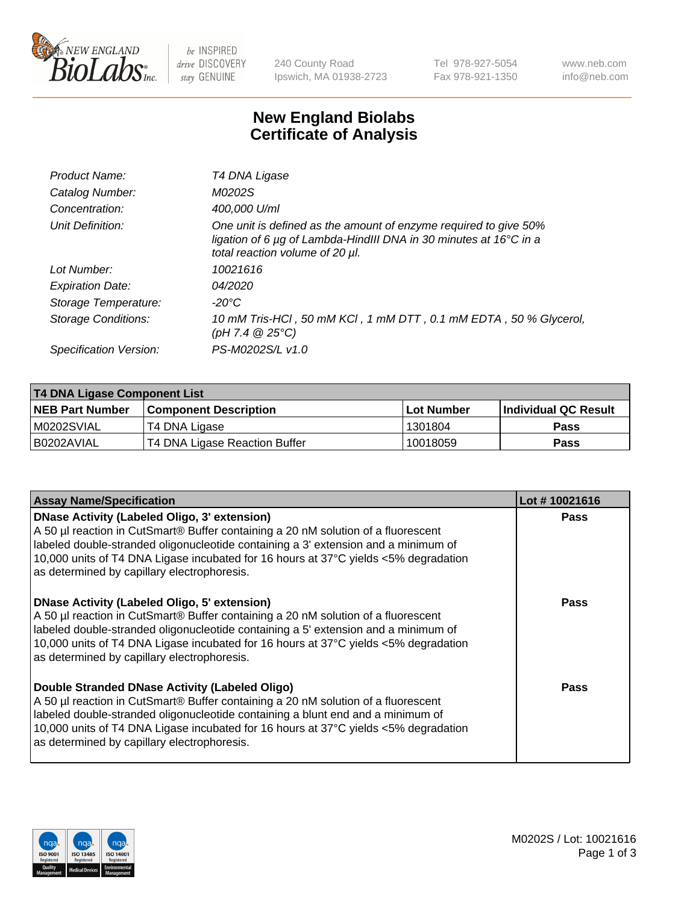

be INSPIRED drive DISCOVERY stay GENUINE

240 County Road Ipswich, MA 01938-2723 Tel 978-927-5054 Fax 978-921-1350 www.neb.com info@neb.com

## **New England Biolabs Certificate of Analysis**

| Product Name:              | T4 DNA Ligase                                                                                                                                                            |
|----------------------------|--------------------------------------------------------------------------------------------------------------------------------------------------------------------------|
| Catalog Number:            | M0202S                                                                                                                                                                   |
| Concentration:             | 400,000 U/ml                                                                                                                                                             |
| Unit Definition:           | One unit is defined as the amount of enzyme required to give 50%<br>ligation of 6 µg of Lambda-HindIII DNA in 30 minutes at 16°C in a<br>total reaction volume of 20 µl. |
| Lot Number:                | 10021616                                                                                                                                                                 |
| <b>Expiration Date:</b>    | 04/2020                                                                                                                                                                  |
| Storage Temperature:       | -20°C                                                                                                                                                                    |
| <b>Storage Conditions:</b> | 10 mM Tris-HCl, 50 mM KCl, 1 mM DTT, 0.1 mM EDTA, 50 % Glycerol,<br>(pH 7.4 $@25°C$ )                                                                                    |
| Specification Version:     | PS-M0202S/L v1.0                                                                                                                                                         |

| <b>T4 DNA Ligase Component List</b> |                               |            |                             |  |
|-------------------------------------|-------------------------------|------------|-----------------------------|--|
| <b>NEB Part Number</b>              | <b>Component Description</b>  | Lot Number | <b>Individual QC Result</b> |  |
| M0202SVIAL                          | T4 DNA Ligase                 | 1301804    | <b>Pass</b>                 |  |
| I B0202AVIAL                        | T4 DNA Ligase Reaction Buffer | 10018059   | <b>Pass</b>                 |  |

| <b>Assay Name/Specification</b>                                                                                                                                                                                                                                                                                                                                      | Lot #10021616 |
|----------------------------------------------------------------------------------------------------------------------------------------------------------------------------------------------------------------------------------------------------------------------------------------------------------------------------------------------------------------------|---------------|
| <b>DNase Activity (Labeled Oligo, 3' extension)</b><br>A 50 µl reaction in CutSmart® Buffer containing a 20 nM solution of a fluorescent<br>labeled double-stranded oligonucleotide containing a 3' extension and a minimum of<br>10,000 units of T4 DNA Ligase incubated for 16 hours at 37°C yields <5% degradation<br>as determined by capillary electrophoresis. | <b>Pass</b>   |
| <b>DNase Activity (Labeled Oligo, 5' extension)</b><br>A 50 µl reaction in CutSmart® Buffer containing a 20 nM solution of a fluorescent<br>labeled double-stranded oligonucleotide containing a 5' extension and a minimum of<br>10,000 units of T4 DNA Ligase incubated for 16 hours at 37°C yields <5% degradation<br>as determined by capillary electrophoresis. | Pass          |
| Double Stranded DNase Activity (Labeled Oligo)<br>A 50 µl reaction in CutSmart® Buffer containing a 20 nM solution of a fluorescent<br>labeled double-stranded oligonucleotide containing a blunt end and a minimum of<br>10,000 units of T4 DNA Ligase incubated for 16 hours at 37°C yields <5% degradation<br>as determined by capillary electrophoresis.         | Pass          |

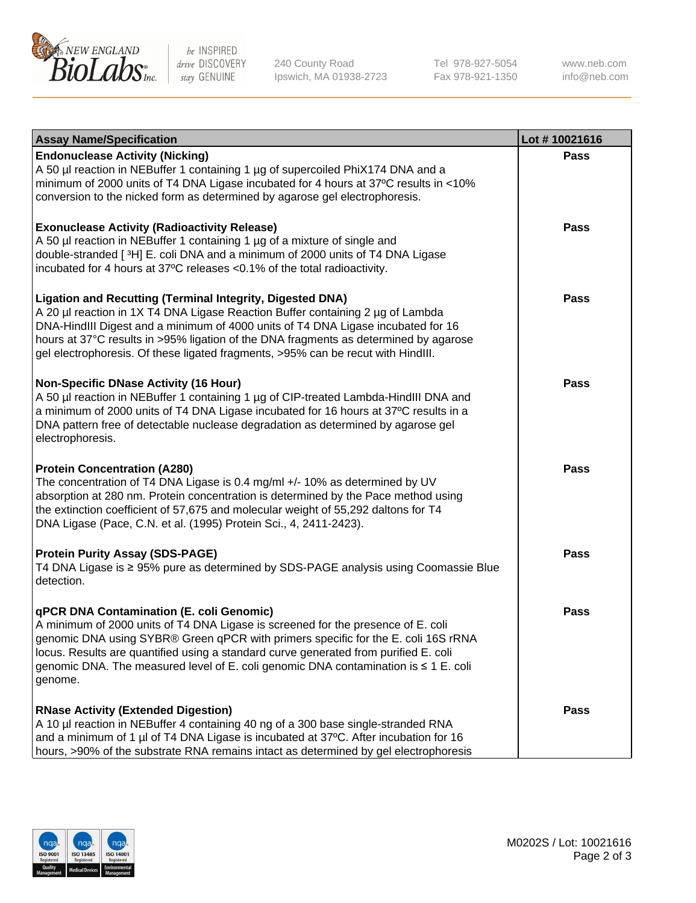

be INSPIRED drive DISCOVERY stay GENUINE

240 County Road Ipswich, MA 01938-2723 Tel 978-927-5054 Fax 978-921-1350

www.neb.com info@neb.com

| <b>Assay Name/Specification</b>                                                                                                                                                                                                                                                                                                                                                                                    | Lot #10021616 |
|--------------------------------------------------------------------------------------------------------------------------------------------------------------------------------------------------------------------------------------------------------------------------------------------------------------------------------------------------------------------------------------------------------------------|---------------|
| <b>Endonuclease Activity (Nicking)</b><br>A 50 µl reaction in NEBuffer 1 containing 1 µg of supercoiled PhiX174 DNA and a<br>minimum of 2000 units of T4 DNA Ligase incubated for 4 hours at 37°C results in <10%<br>conversion to the nicked form as determined by agarose gel electrophoresis.                                                                                                                   | <b>Pass</b>   |
| <b>Exonuclease Activity (Radioactivity Release)</b><br>A 50 µl reaction in NEBuffer 1 containing 1 µg of a mixture of single and<br>double-stranded [3H] E. coli DNA and a minimum of 2000 units of T4 DNA Ligase<br>incubated for 4 hours at 37°C releases <0.1% of the total radioactivity.                                                                                                                      | <b>Pass</b>   |
| <b>Ligation and Recutting (Terminal Integrity, Digested DNA)</b><br>A 20 µl reaction in 1X T4 DNA Ligase Reaction Buffer containing 2 µg of Lambda<br>DNA-HindIII Digest and a minimum of 4000 units of T4 DNA Ligase incubated for 16<br>hours at 37°C results in >95% ligation of the DNA fragments as determined by agarose<br>gel electrophoresis. Of these ligated fragments, >95% can be recut with HindIII. | <b>Pass</b>   |
| <b>Non-Specific DNase Activity (16 Hour)</b><br>A 50 µl reaction in NEBuffer 1 containing 1 µg of CIP-treated Lambda-HindIII DNA and<br>a minimum of 2000 units of T4 DNA Ligase incubated for 16 hours at 37°C results in a<br>DNA pattern free of detectable nuclease degradation as determined by agarose gel<br>electrophoresis.                                                                               | <b>Pass</b>   |
| <b>Protein Concentration (A280)</b><br>The concentration of T4 DNA Ligase is 0.4 mg/ml +/- 10% as determined by UV<br>absorption at 280 nm. Protein concentration is determined by the Pace method using<br>the extinction coefficient of 57,675 and molecular weight of 55,292 daltons for T4<br>DNA Ligase (Pace, C.N. et al. (1995) Protein Sci., 4, 2411-2423).                                                | <b>Pass</b>   |
| <b>Protein Purity Assay (SDS-PAGE)</b><br>T4 DNA Ligase is ≥ 95% pure as determined by SDS-PAGE analysis using Coomassie Blue<br>detection.                                                                                                                                                                                                                                                                        | <b>Pass</b>   |
| qPCR DNA Contamination (E. coli Genomic)<br>A minimum of 2000 units of T4 DNA Ligase is screened for the presence of E. coli<br>genomic DNA using SYBR® Green qPCR with primers specific for the E. coli 16S rRNA<br>locus. Results are quantified using a standard curve generated from purified E. coli<br>genomic DNA. The measured level of E. coli genomic DNA contamination is ≤ 1 E. coli<br>genome.        | Pass          |
| <b>RNase Activity (Extended Digestion)</b><br>A 10 µl reaction in NEBuffer 4 containing 40 ng of a 300 base single-stranded RNA<br>and a minimum of 1 µl of T4 DNA Ligase is incubated at 37°C. After incubation for 16<br>hours, >90% of the substrate RNA remains intact as determined by gel electrophoresis                                                                                                    | <b>Pass</b>   |